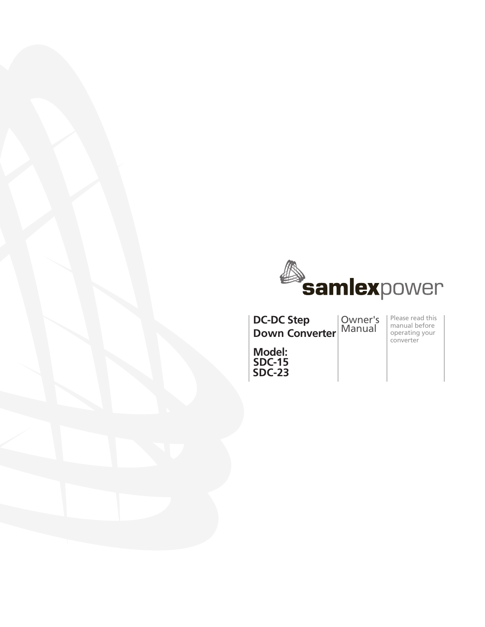

**DC-DC Step Down Converter**

Owner's Manual

Please read this manual before operating your converter

**Model: SDC-15 SDC-23**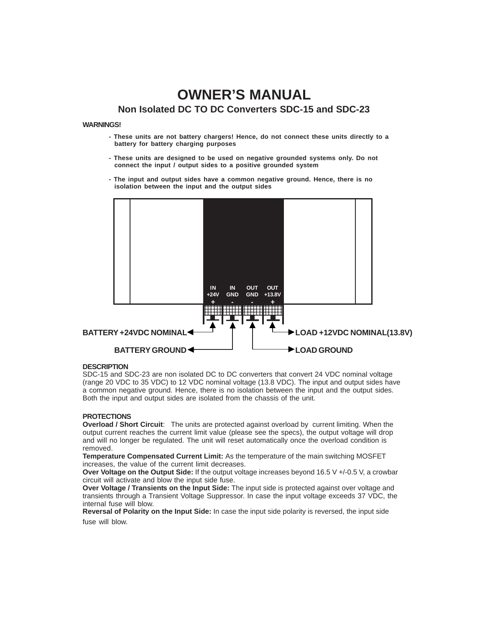# **OWNER'S MANUAL Non Isolated DC TO DC Converters SDC-15 and SDC-23**

## **WARNINGS!**

- **- These units are not battery chargers! Hence, do not connect these units directly to a battery for battery charging purposes**
- **These units are designed to be used on negative grounded systems only. Do not connect the input / output sides to a positive grounded system**
- **The input and output sides have a common negative ground. Hence, there is no isolation between the input and the output sides**



## **DESCRIPTION**

SDC-15 and SDC-23 are non isolated DC to DC converters that convert 24 VDC nominal voltage (range 20 VDC to 35 VDC) to 12 VDC nominal voltage (13.8 VDC). The input and output sides have a common negative ground. Hence, there is no isolation between the input and the output sides. Both the input and output sides are isolated from the chassis of the unit.

### **PROTECTIONS**

**Overload / Short Circuit**: The units are protected against overload by current limiting. When the output current reaches the current limit value (please see the specs), the output voltage will drop and will no longer be regulated. The unit will reset automatically once the overload condition is removed.

**Temperature Compensated Current Limit:** As the temperature of the main switching MOSFET increases, the value of the current limit decreases.

**Over Voltage on the Output Side:** If the output voltage increases beyond 16.5 V +/-0.5 V, a crowbar circuit will activate and blow the input side fuse.

**Over Voltage / Transients on the Input Side:** The input side is protected against over voltage and transients through a Transient Voltage Suppressor. In case the input voltage exceeds 37 VDC, the internal fuse will blow.

**Reversal of Polarity on the Input Side:** In case the input side polarity is reversed, the input side fuse will blow.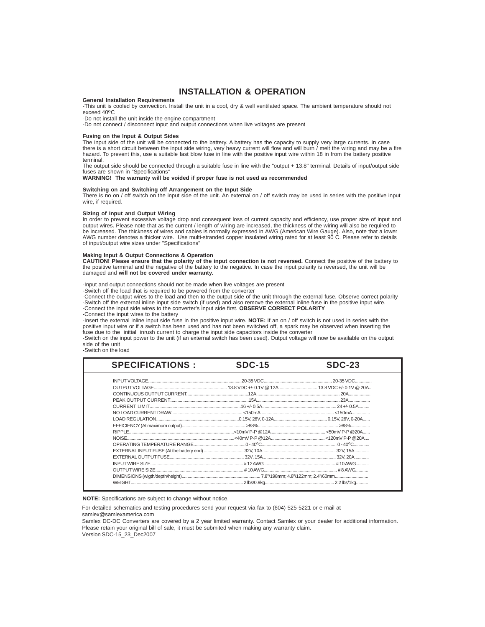## **INSTALLATION & OPERATION**

#### **General Installation Requirements**

-This unit is cooled by convection. Install the unit in a cool, dry & well ventilated space. The ambient temperature should not exceed 40**<sup>O</sup>**C

-Do not install the unit inside the engine compartment

-Do not connect / disconnect input and output connections when live voltages are present

#### **Fusing on the Input & Output Sides**

The input side of the unit will be connected to the battery. A battery has the capacity to supply very large currents. In case there is a short circuit between the input side wiring, very heavy current will flow and will burn / melt the wiring and may be a fire hazard. To prevent this, use a suitable fast blow fuse in line with the positive input wire within 18 in from the battery positive terminal.

The output side should be connected through a suitable fuse in line with the "output + 13.8" terminal. Details of input/output side fuses are shown in "Specifications"

**WARNING! The warranty will be voided if proper fuse is not used as recommended**

#### **Switching on and Switching off Arrangement on the Input Side**

There is no on / off switch on the input side of the unit. An external on / off switch may be used in series with the positive input wire, if required.

#### **Sizing of Input and Output Wiring**

In order to prevent excessive voltage drop and consequent loss of current capacity and efficiency, use proper size of input and output wires. Please note that as the current / length of wiring are increased, the thickness of the wiring will also be required to be increased. The thickness of wires and cables is normally expressed in AWG (American Wire Gauge). Also, note that a lower AWG number denotes a thicker wire. Use multi-stranded copper insulated wiring rated for at least 90 C. Please refer to details of input/output wire sizes under "Specifications"

#### **Making Input & Output Connections & Operation**

**CAUTION! Please ensure that the polarity of the input connection is not reversed.** Connect the positive of the battery to the positive terminal and the negative of the battery to the negative. In case the input polarity is reversed, the unit will be damaged and **will not be covered under warranty.**

-Input and output connections should not be made when live voltages are present

-Switch off the load that is required to be powered from the converter

-Connect the output wires to the load and then to the output side of the unit through the external fuse. Observe correct polarity -Switch off the external inline input side switch (if used) and also remove the external inline fuse in the positive input wire. -Connect the input side wires to the converter's input side first. **OBSERVE CORRECT POLARITY**

-Connect the input wires to the battery -Insert the external inline input side fuse in the positive input wire. **NOTE:** If an on / off switch is not used in series with the positive input wire or if a switch has been used and has not been switched off, a spark may be observed when inserting the fuse due to the initial inrush current to charge the input side capacitors inside the converter

-Switch on the input power to the unit (if an external switch has been used). Output voltage will now be available on the output side of the unit

-Switch on the load

| <b>SPECIFICATIONS:</b> | <b>SDC-15</b> | <b>SDC-23</b> |
|------------------------|---------------|---------------|
|                        |               |               |
|                        |               |               |
|                        |               |               |
|                        |               |               |
|                        |               |               |
|                        |               |               |
|                        |               |               |
|                        |               |               |
|                        |               |               |
|                        |               |               |
|                        |               |               |
|                        |               |               |
|                        |               |               |
|                        |               |               |
|                        |               |               |
|                        |               |               |
|                        |               |               |

**NOTE:** Specifications are subject to change without notice.

For detailed schematics and testing procedures send your request via fax to (604) 525-5221 or e-mail at

samlex@samlexamerica.com

Samlex DC-DC Converters are covered by a 2 year limited warranty. Contact Samlex or your dealer for additional information. Please retain your original bill of sale, it must be submited when making any warranty claim. Version SDC-15\_23\_Dec2007